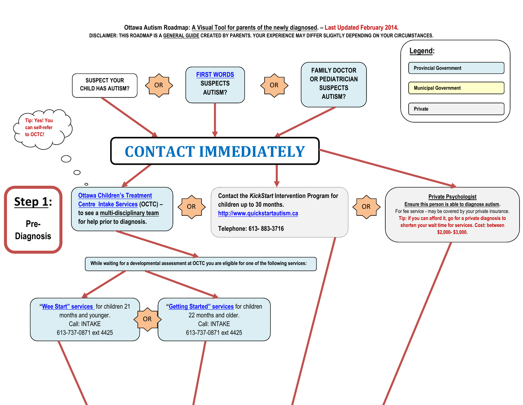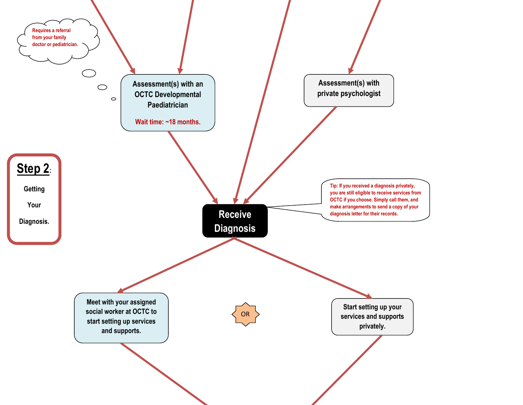